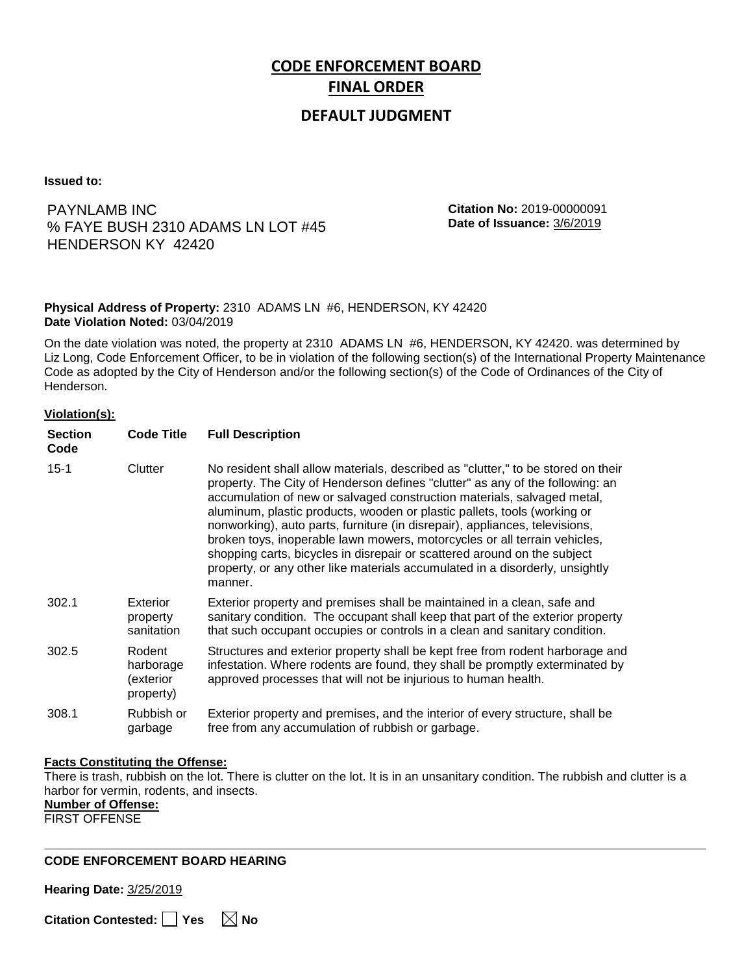# **CODE ENFORCEMENT BOARD FINAL ORDER**

### **DEFAULT JUDGMENT**

**Issued to:**

### PAYNLAMB INC % FAYE BUSH 2310 ADAMS LN LOT #45 HENDERSON KY 42420

**Citation No:** 2019-00000091 **Date of Issuance:** 3/6/2019

#### **Physical Address of Property:** 2310 ADAMS LN #6, HENDERSON, KY 42420 **Date Violation Noted:** 03/04/2019

On the date violation was noted, the property at 2310 ADAMS LN #6, HENDERSON, KY 42420. was determined by Liz Long, Code Enforcement Officer, to be in violation of the following section(s) of the International Property Maintenance Code as adopted by the City of Henderson and/or the following section(s) of the Code of Ordinances of the City of Henderson.

#### **Violation(s):**

| <b>Section</b><br>Code | <b>Code Title</b>                             | <b>Full Description</b>                                                                                                                                                                                                                                                                                                                                                                                                                                                                                                                                                                                                                                     |
|------------------------|-----------------------------------------------|-------------------------------------------------------------------------------------------------------------------------------------------------------------------------------------------------------------------------------------------------------------------------------------------------------------------------------------------------------------------------------------------------------------------------------------------------------------------------------------------------------------------------------------------------------------------------------------------------------------------------------------------------------------|
| $15 - 1$               | Clutter                                       | No resident shall allow materials, described as "clutter," to be stored on their<br>property. The City of Henderson defines "clutter" as any of the following: an<br>accumulation of new or salvaged construction materials, salvaged metal,<br>aluminum, plastic products, wooden or plastic pallets, tools (working or<br>nonworking), auto parts, furniture (in disrepair), appliances, televisions,<br>broken toys, inoperable lawn mowers, motorcycles or all terrain vehicles,<br>shopping carts, bicycles in disrepair or scattered around on the subject<br>property, or any other like materials accumulated in a disorderly, unsightly<br>manner. |
| 302.1                  | Exterior<br>property<br>sanitation            | Exterior property and premises shall be maintained in a clean, safe and<br>sanitary condition. The occupant shall keep that part of the exterior property<br>that such occupant occupies or controls in a clean and sanitary condition.                                                                                                                                                                                                                                                                                                                                                                                                                     |
| 302.5                  | Rodent<br>harborage<br>exterior)<br>property) | Structures and exterior property shall be kept free from rodent harborage and<br>infestation. Where rodents are found, they shall be promptly exterminated by<br>approved processes that will not be injurious to human health.                                                                                                                                                                                                                                                                                                                                                                                                                             |
| 308.1                  | Rubbish or<br>garbage                         | Exterior property and premises, and the interior of every structure, shall be<br>free from any accumulation of rubbish or garbage.                                                                                                                                                                                                                                                                                                                                                                                                                                                                                                                          |

#### **Facts Constituting the Offense:**

There is trash, rubbish on the lot. There is clutter on the lot. It is in an unsanitary condition. The rubbish and clutter is a harbor for vermin, rodents, and insects.

**Number of Offense:**

FIRST OFFENSE

#### **CODE ENFORCEMENT BOARD HEARING**

**Hearing Date:** 3/25/2019

**Citation Contested:** ■ Yes  $\ \ \ \ \ \ \ \ \ \ \ \ \ \ \ \ \ \$  No